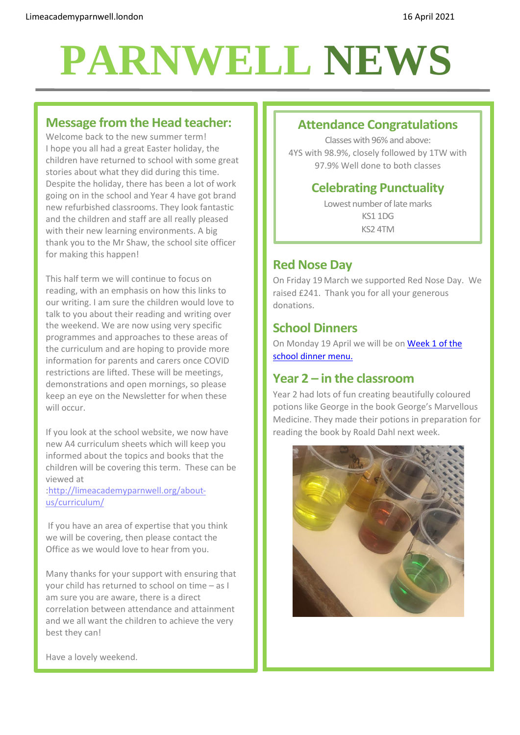# **PARNWELL NEWS**

#### **Message from the Head teacher:**

Welcome back to the new summer term! I hope you all had a great Easter holiday, the children have returned to school with some great stories about what they did during this time. Despite the holiday, there has been a lot of work going on in the school and Year 4 have got brand new refurbished classrooms. They look fantastic and the children and staff are all really pleased with their new learning environments. A big thank you to the Mr Shaw, the school site officer for making this happen!

This half term we will continue to focus on reading, with an emphasis on how this links to our writing. I am sure the children would love to talk to you about their reading and writing over the weekend. We are now using very specific programmes and approaches to these areas of the curriculum and are hoping to provide more information for parents and carers once COVID restrictions are lifted. These will be meetings, demonstrations and open mornings, so please keep an eye on the Newsletter for when these will occur.

If you look at the school website, we now have new A4 curriculum sheets which will keep you informed about the topics and books that the children will be covering this term. These can be viewed at

[:http://limeacademyparnwell.org/about](http://limeacademyparnwell.org/about-us/curriculum/)[us/curriculum/](http://limeacademyparnwell.org/about-us/curriculum/)

If you have an area of expertise that you think we will be covering, then please contact the Office as we would love to hear from you.

Many thanks for your support with ensuring that your child has returned to school on time – as I am sure you are aware, there is a direct correlation between attendance and attainment and we all want the children to achieve the very best they can!

## **Attendance Congratulations**

Classes with 96% and above: 4YS with 98.9%, closely followed by 1TW with 97.9% Well done to both classes

# **Celebrating Punctuality**

Lowest number of late marks KS1 1DG KS2 4TM

# **Red Nose Day**

On Friday 19 March we supported Red Nose Day. We raised £241. Thank you for all your generous donations.

# **School Dinners**

On Monday 19 April we will be on [Week 1](http://limeacademyparnwell.org/media/3932/dinner-menu-2020-09-18.pdf) of the [school dinner menu.](http://limeacademyparnwell.org/media/3932/dinner-menu-2020-09-18.pdf)

# **Year 2 – in the classroom**

Year 2 had lots of fun creating beautifully coloured potions like George in the book George's Marvellous Medicine. They made their potions in preparation for reading the book by Roald Dahl next week.



Have a lovely weekend.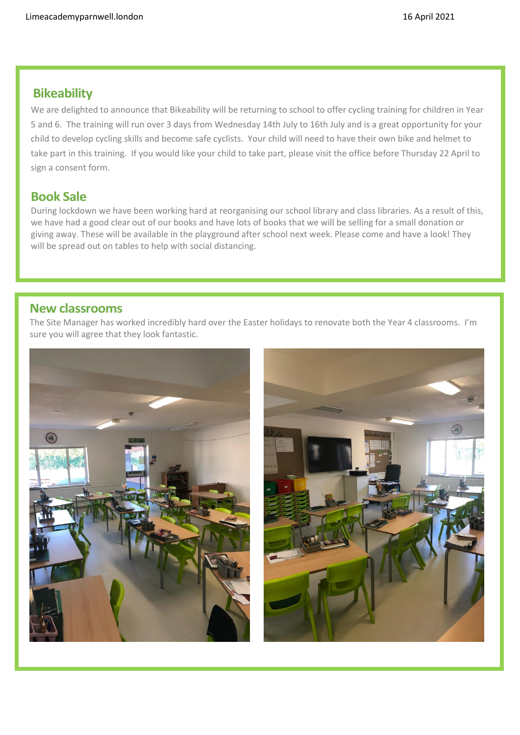# **Bikeability**

We are delighted to announce that Bikeability will be returning to school to offer cycling training for children in Year 5 and 6. The training will run over 3 days from Wednesday 14th July to 16th July and is a great opportunity for your child to develop cycling skills and become safe cyclists. Your child will need to have their own bike and helmet to take part in this training. If you would like your child to take part, please visit the office before Thursday 22 April to sign a consent form.

## **Book Sale**

During lockdown we have been working hard at reorganising our school library and class libraries. As a result of this, we have had a good clear out of our books and have lots of books that we will be selling for a small donation or giving away. These will be available in the playground after school next week. Please come and have a look! They will be spread out on tables to help with social distancing.

#### **New classrooms**

The Site Manager has worked incredibly hard over the Easter holidays to renovate both the Year 4 classrooms. I'm sure you will agree that they look fantastic.